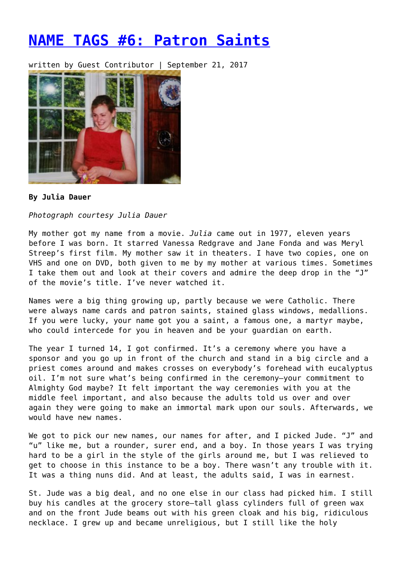## **[NAME TAGS #6: Patron Saints](https://entropymag.org/name-tags-6-patron-saints/)**

written by Guest Contributor | September 21, 2017



## **By Julia Dauer**

*Photograph courtesy Julia Dauer*

My mother got my name from a movie. *Julia* came out in 1977, eleven years before I was born. It starred Vanessa Redgrave and Jane Fonda and was Meryl Streep's first film. My mother saw it in theaters. I have two copies, one on VHS and one on DVD, both given to me by my mother at various times. Sometimes I take them out and look at their covers and admire the deep drop in the "J" of the movie's title. I've never watched it.

Names were a big thing growing up, partly because we were Catholic. There were always name cards and patron saints, stained glass windows, medallions. If you were lucky, your name got you a saint, a famous one, a martyr maybe, who could intercede for you in heaven and be your guardian on earth.

The year I turned 14, I got confirmed. It's a ceremony where you have a sponsor and you go up in front of the church and stand in a big circle and a priest comes around and makes crosses on everybody's forehead with eucalyptus oil. I'm not sure what's being confirmed in the ceremony—your commitment to Almighty God maybe? It felt important the way ceremonies with you at the middle feel important, and also because the adults told us over and over again they were going to make an immortal mark upon our souls. Afterwards, we would have new names.

We got to pick our new names, our names for after, and I picked Jude. "J" and "u" like me, but a rounder, surer end, and a boy. In those years I was trying hard to be a girl in the style of the girls around me, but I was relieved to get to choose in this instance to be a boy. There wasn't any trouble with it. It was a thing nuns did. And at least, the adults said, I was in earnest.

St. Jude was a big deal, and no one else in our class had picked him. I still buy his candles at the grocery store—tall glass cylinders full of green wax and on the front Jude beams out with his green cloak and his big, ridiculous necklace. I grew up and became unreligious, but I still like the holy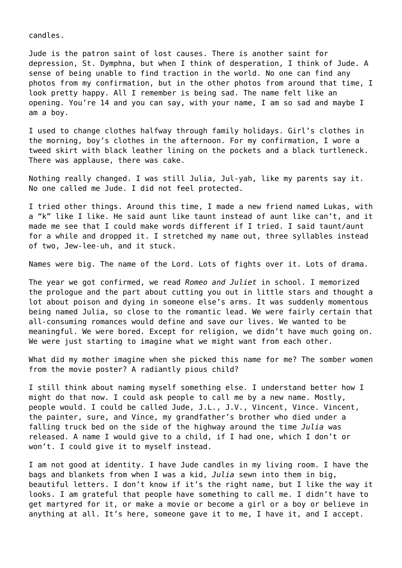candles.

Jude is the patron saint of lost causes. There is another saint for depression, St. Dymphna, but when I think of desperation, I think of Jude. A sense of being unable to find traction in the world. No one can find any photos from my confirmation, but in the other photos from around that time, I look pretty happy. All I remember is being sad. The name felt like an opening. You're 14 and you can say, with your name, I am so sad and maybe I am a boy.

I used to change clothes halfway through family holidays. Girl's clothes in the morning, boy's clothes in the afternoon. For my confirmation, I wore a tweed skirt with black leather lining on the pockets and a black turtleneck. There was applause, there was cake.

Nothing really changed. I was still Julia, Jul-yah, like my parents say it. No one called me Jude. I did not feel protected.

I tried other things. Around this time, I made a new friend named Lukas, with a "k" like I like. He said aunt like taunt instead of aunt like can't, and it made me see that I could make words different if I tried. I said taunt/aunt for a while and dropped it. I stretched my name out, three syllables instead of two, Jew-lee-uh, and it stuck.

Names were big. The name of the Lord. Lots of fights over it. Lots of drama.

The year we got confirmed, we read *Romeo and Juliet* in school. I memorized the prologue and the part about cutting you out in little stars and thought a lot about poison and dying in someone else's arms. It was suddenly momentous being named Julia, so close to the romantic lead. We were fairly certain that all-consuming romances would define and save our lives. We wanted to be meaningful. We were bored. Except for religion, we didn't have much going on. We were just starting to imagine what we might want from each other.

What did my mother imagine when she picked this name for me? The somber women from the movie poster? A radiantly pious child?

I still think about naming myself something else. I understand better how I might do that now. I could ask people to call me by a new name. Mostly, people would. I could be called Jude, J.L., J.V., Vincent, Vince. Vincent, the painter, sure, and Vince, my grandfather's brother who died under a falling truck bed on the side of the highway around the time *Julia* was released. A name I would give to a child, if I had one, which I don't or won't. I could give it to myself instead.

I am not good at identity. I have Jude candles in my living room. I have the bags and blankets from when I was a kid, *Julia* sewn into them in big, beautiful letters. I don't know if it's the right name, but I like the way it looks. I am grateful that people have something to call me. I didn't have to get martyred for it, or make a movie or become a girl or a boy or believe in anything at all. It's here, someone gave it to me, I have it, and I accept.